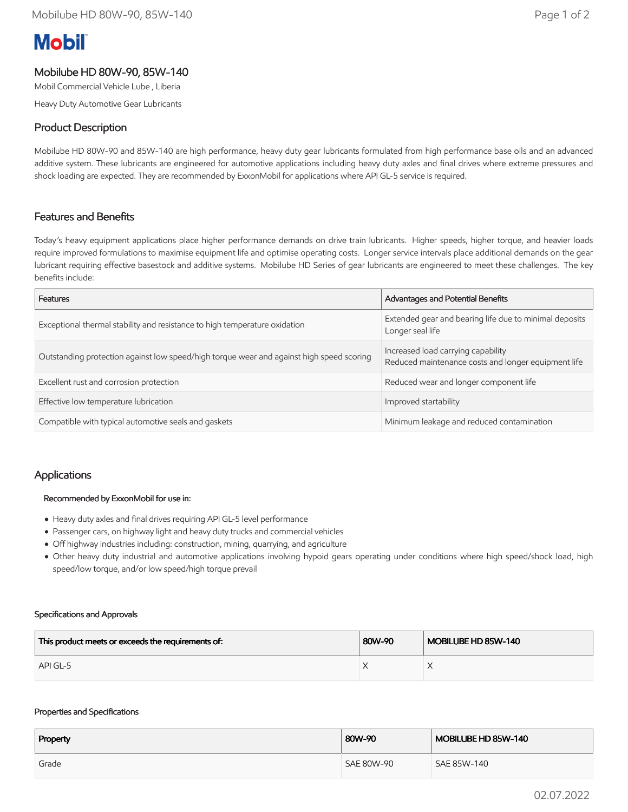# **Mobil**

# Mobilube HD 80W-90, 85W-140

Mobil Commercial Vehicle Lube , Liberia

Heavy Duty Automotive Gear Lubricants

# Product Description

Mobilube HD 80W-90 and 85W-140 are high performance, heavy duty gear lubricants formulated from high performance base oils and an advanced additive system. These lubricants are engineered for automotive applications including heavy duty axles and final drives where extreme pressures and shock loading are expected. They are recommended by ExxonMobil for applications where API GL-5 service is required.

## Features and Benefits

Today's heavy equipment applications place higher performance demands on drive train lubricants. Higher speeds, higher torque, and heavier loads require improved formulations to maximise equipment life and optimise operating costs. Longer service intervals place additional demands on the gear lubricant requiring effective basestock and additive systems. Mobilube HD Series of gear lubricants are engineered to meet these challenges. The key benefits include:

| Features                                                                                 | Advantages and Potential Benefits                                                         |  |
|------------------------------------------------------------------------------------------|-------------------------------------------------------------------------------------------|--|
| Exceptional thermal stability and resistance to high temperature oxidation               | Extended gear and bearing life due to minimal deposits<br>Longer seal life                |  |
| Outstanding protection against low speed/high torque wear and against high speed scoring | Increased load carrying capability<br>Reduced maintenance costs and longer equipment life |  |
| Excellent rust and corrosion protection                                                  | Reduced wear and longer component life                                                    |  |
| Effective low temperature lubrication                                                    | Improved startability                                                                     |  |
| Compatible with typical automotive seals and gaskets                                     | Minimum leakage and reduced contamination                                                 |  |

## Applications

#### Recommended by ExxonMobil for use in:

- Heavy duty axles and final drives requiring API GL-5 level performance
- Passenger cars, on highway light and heavy duty trucks and commercial vehicles
- Off highway industries including: construction, mining, quarrying, and agriculture
- Other heavy duty industrial and automotive applications involving hypoid gears operating under conditions where high speed/shock load, high speed/low torque, and/or low speed/high torque prevail

#### Specifications and Approvals

| This product meets or exceeds the requirements of: | 80W-90 | MOBILUBE HD 85W-140 |
|----------------------------------------------------|--------|---------------------|
| API GL-5                                           |        |                     |

#### Properties and Specifications

| Property | 80W-90     | MOBILUBE HD 85W-140 |
|----------|------------|---------------------|
| Grade    | SAE 80W-90 | SAE 85W-140         |